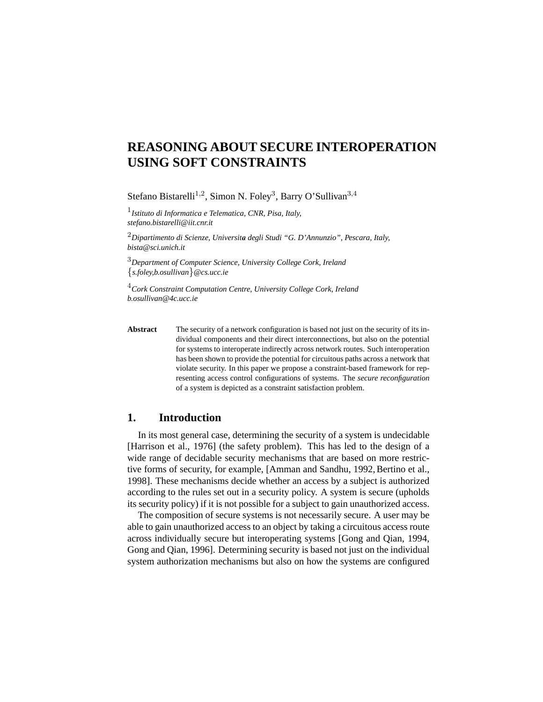# **REASONING ABOUT SECURE INTEROPERATION USING SOFT CONSTRAINTS**

Stefano Bistarelli<sup>1,2</sup>, Simon N. Foley<sup>3</sup>, Barry O'Sullivan<sup>3,4</sup>

1 *Istituto di Informatica e Telematica, CNR, Pisa, Italy, stefano.bistarelli@iit.cnr.it*

<sup>2</sup>Dipartimento di Scienze, Universita degli Studi "G. D'Annunzio", Pescara, Italy, *bista@sci.unich.it*

<sup>3</sup>*Department of Computer Science, University College Cork, Ireland* {*s.foley,b.osullivan*}*@cs.ucc.ie*

<sup>4</sup>*Cork Constraint Computation Centre, University College Cork, Ireland b.osullivan@4c.ucc.ie*

**Abstract** The security of a network configuration is based not just on the security of its individual components and their direct interconnections, but also on the potential for systems to interoperate indirectly across network routes. Such interoperation has been shown to provide the potential for circuitous paths across a network that violate security. In this paper we propose a constraint-based framework for representing access control configurations of systems. The *secure reconfiguration* of a system is depicted as a constraint satisfaction problem.

# **1. Introduction**

In its most general case, determining the security of a system is undecidable [Harrison et al., 1976] (the safety problem). This has led to the design of a wide range of decidable security mechanisms that are based on more restrictive forms of security, for example, [Amman and Sandhu, 1992, Bertino et al., 1998]. These mechanisms decide whether an access by a subject is authorized according to the rules set out in a security policy. A system is secure (upholds its security policy) if it is not possible for a subject to gain unauthorized access.

The composition of secure systems is not necessarily secure. A user may be able to gain unauthorized access to an object by taking a circuitous access route across individually secure but interoperating systems [Gong and Qian, 1994, Gong and Qian, 1996]. Determining security is based not just on the individual system authorization mechanisms but also on how the systems are configured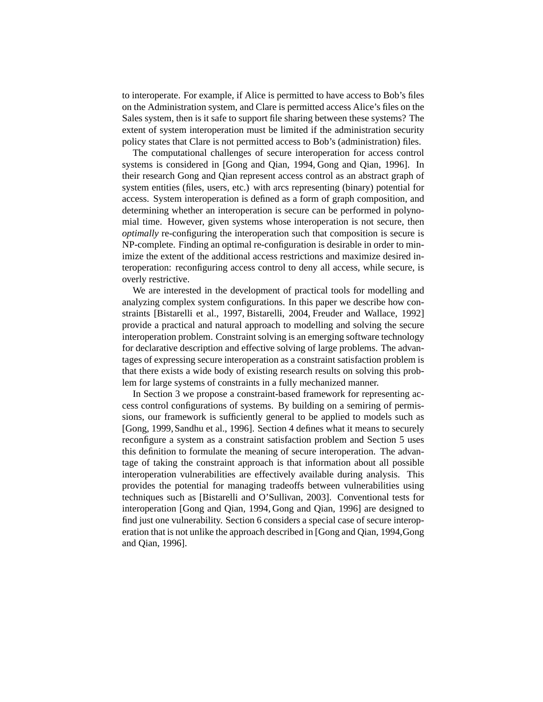to interoperate. For example, if Alice is permitted to have access to Bob's files on the Administration system, and Clare is permitted access Alice's files on the Sales system, then is it safe to support file sharing between these systems? The extent of system interoperation must be limited if the administration security policy states that Clare is not permitted access to Bob's (administration) files.

The computational challenges of secure interoperation for access control systems is considered in [Gong and Qian, 1994, Gong and Qian, 1996]. In their research Gong and Qian represent access control as an abstract graph of system entities (files, users, etc.) with arcs representing (binary) potential for access. System interoperation is defined as a form of graph composition, and determining whether an interoperation is secure can be performed in polynomial time. However, given systems whose interoperation is not secure, then *optimally* re-configuring the interoperation such that composition is secure is NP-complete. Finding an optimal re-configuration is desirable in order to minimize the extent of the additional access restrictions and maximize desired interoperation: reconfiguring access control to deny all access, while secure, is overly restrictive.

We are interested in the development of practical tools for modelling and analyzing complex system configurations. In this paper we describe how constraints [Bistarelli et al., 1997, Bistarelli, 2004, Freuder and Wallace, 1992] provide a practical and natural approach to modelling and solving the secure interoperation problem. Constraint solving is an emerging software technology for declarative description and effective solving of large problems. The advantages of expressing secure interoperation as a constraint satisfaction problem is that there exists a wide body of existing research results on solving this problem for large systems of constraints in a fully mechanized manner.

In Section 3 we propose a constraint-based framework for representing access control configurations of systems. By building on a semiring of permissions, our framework is sufficiently general to be applied to models such as [Gong, 1999, Sandhu et al., 1996]. Section 4 defines what it means to securely reconfigure a system as a constraint satisfaction problem and Section 5 uses this definition to formulate the meaning of secure interoperation. The advantage of taking the constraint approach is that information about all possible interoperation vulnerabilities are effectively available during analysis. This provides the potential for managing tradeoffs between vulnerabilities using techniques such as [Bistarelli and O'Sullivan, 2003]. Conventional tests for interoperation [Gong and Qian, 1994, Gong and Qian, 1996] are designed to find just one vulnerability. Section 6 considers a special case of secure interoperation that is not unlike the approach described in [Gong and Qian, 1994,Gong and Qian, 1996].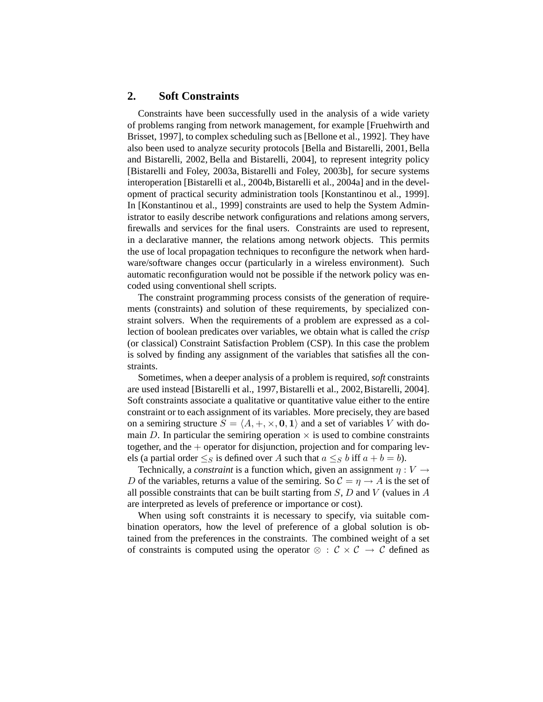## **2. Soft Constraints**

Constraints have been successfully used in the analysis of a wide variety of problems ranging from network management, for example [Fruehwirth and Brisset, 1997], to complex scheduling such as [Bellone et al., 1992]. They have also been used to analyze security protocols [Bella and Bistarelli, 2001, Bella and Bistarelli, 2002, Bella and Bistarelli, 2004], to represent integrity policy [Bistarelli and Foley, 2003a, Bistarelli and Foley, 2003b], for secure systems interoperation [Bistarelli et al., 2004b, Bistarelli et al., 2004a] and in the development of practical security administration tools [Konstantinou et al., 1999]. In [Konstantinou et al., 1999] constraints are used to help the System Administrator to easily describe network configurations and relations among servers, firewalls and services for the final users. Constraints are used to represent, in a declarative manner, the relations among network objects. This permits the use of local propagation techniques to reconfigure the network when hardware/software changes occur (particularly in a wireless environment). Such automatic reconfiguration would not be possible if the network policy was encoded using conventional shell scripts.

The constraint programming process consists of the generation of requirements (constraints) and solution of these requirements, by specialized constraint solvers. When the requirements of a problem are expressed as a collection of boolean predicates over variables, we obtain what is called the *crisp* (or classical) Constraint Satisfaction Problem (CSP). In this case the problem is solved by finding any assignment of the variables that satisfies all the constraints.

Sometimes, when a deeper analysis of a problem is required, *soft* constraints are used instead [Bistarelli et al., 1997, Bistarelli et al., 2002, Bistarelli, 2004]. Soft constraints associate a qualitative or quantitative value either to the entire constraint or to each assignment of its variables. More precisely, they are based on a semiring structure  $S = \langle A, +, \times, 0, 1 \rangle$  and a set of variables V with domain D. In particular the semiring operation  $\times$  is used to combine constraints together, and the + operator for disjunction, projection and for comparing levels (a partial order  $\leq_S$  is defined over A such that  $a \leq_S b$  iff  $a + b = b$ ).

Technically, a *constraint* is a function which, given an assignment  $\eta: V \rightarrow$ D of the variables, returns a value of the semiring. So  $\mathcal{C} = \eta \rightarrow A$  is the set of all possible constraints that can be built starting from  $S$ ,  $D$  and  $V$  (values in  $A$ are interpreted as levels of preference or importance or cost).

When using soft constraints it is necessary to specify, via suitable combination operators, how the level of preference of a global solution is obtained from the preferences in the constraints. The combined weight of a set of constraints is computed using the operator  $\otimes$  :  $\mathcal{C} \times \mathcal{C} \rightarrow \mathcal{C}$  defined as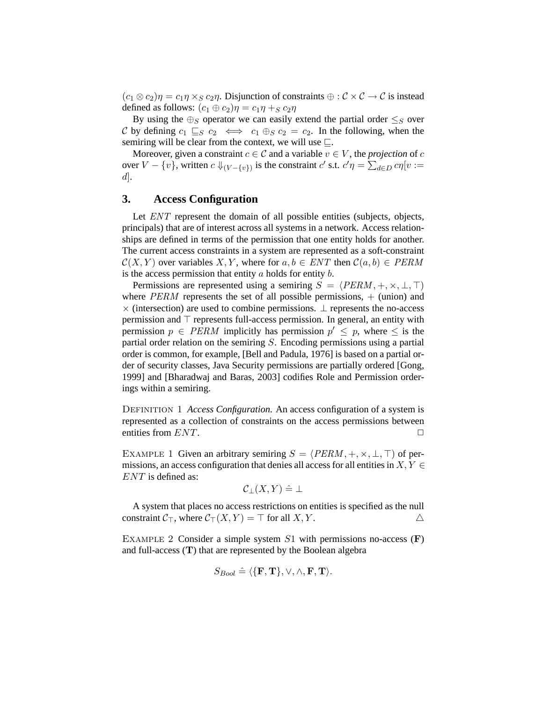$(c_1 \otimes c_2)\eta = c_1\eta \times_S c_2\eta$ . Disjunction of constraints  $\oplus : \mathcal{C} \times \mathcal{C} \to \mathcal{C}$  is instead defined as follows:  $(c_1 \oplus c_2)\eta = c_1\eta +_{S} c_2\eta$ 

By using the  $\bigoplus_S$  operator we can easily extend the partial order  $\leq_S$  over C by defining  $c_1 \sqsubseteq_S c_2 \iff c_1 \oplus_S c_2 = c_2$ . In the following, when the semiring will be clear from the context, we will use  $\Box$ .

Moreover, given a constraint  $c \in \mathcal{C}$  and a variable  $v \in V$ , the *projection* of c over  $V - \{v\}$ , written  $c \Downarrow_{(V - \{v\})}$  is the constraint  $c'$  s.t.  $c' \eta = \sum_{d \in D} c \eta[v :=$  $d$ .

## **3. Access Configuration**

Let *ENT* represent the domain of all possible entities (subjects, objects, principals) that are of interest across all systems in a network. Access relationships are defined in terms of the permission that one entity holds for another. The current access constraints in a system are represented as a soft-constraint  $\mathcal{C}(X, Y)$  over variables X, Y, where for  $a, b \in ENT$  then  $\mathcal{C}(a, b) \in PERM$ is the access permission that entity  $a$  holds for entity  $b$ .

Permissions are represented using a semiring  $S = \langle PERM, +, \times, \bot, \top \rangle$ where  $PERM$  represents the set of all possible permissions,  $+$  (union) and  $\times$  (intersection) are used to combine permissions. ⊥ represents the no-access permission and  $\top$  represents full-access permission. In general, an entity with permission  $p \in PERM$  implicitly has permission  $p' \leq p$ , where  $\leq$  is the partial order relation on the semiring S. Encoding permissions using a partial order is common, for example, [Bell and Padula, 1976] is based on a partial order of security classes, Java Security permissions are partially ordered [Gong, 1999] and [Bharadwaj and Baras, 2003] codifies Role and Permission orderings within a semiring.

DEFINITION 1 *Access Configuration*. An access configuration of a system is represented as a collection of constraints on the access permissions between entities from  $ENT$ .

EXAMPLE 1 Given an arbitrary semiring  $S = \langle PERM, +, \times, \bot, \top \rangle$  of permissions, an access configuration that denies all access for all entities in  $X, Y \in$  $ENT$  is defined as:

$$
\mathcal{C}_{\perp}(X,Y)\mathrel{\hat{=}}\mathop{\perp}
$$

A system that places no access restrictions on entities is specified as the null constraint  $C_{\top}$ , where  $C_{\top}(X, Y) = \top$  for all  $X, Y$ . △

EXAMPLE 2 Consider a simple system  $S1$  with permissions no-access  $(F)$ and full-access (T) that are represented by the Boolean algebra

$$
S_{Bool} \hat{=} \langle \{\mathbf{F}, \mathbf{T}\}, \vee, \wedge, \mathbf{F}, \mathbf{T}\rangle.
$$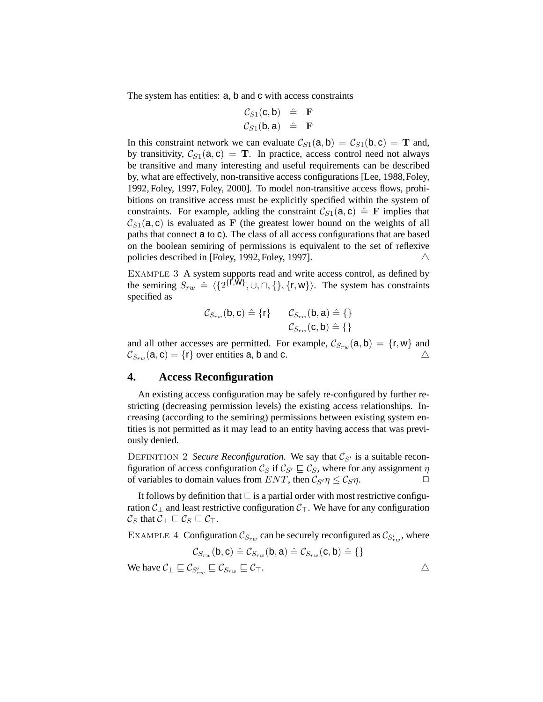The system has entities: **a**, **b** and **c** with access constraints

$$
\begin{array}{ccc}\n\mathcal{C}_{S1}(\mathsf{c},\mathsf{b}) & \hat{=} & \mathbf{F} \\
\mathcal{C}_{S1}(\mathsf{b},\mathsf{a}) & \hat{=} & \mathbf{F}\n\end{array}
$$

In this constraint network we can evaluate  $C_{S1}(\mathbf{a}, \mathbf{b}) = C_{S1}(\mathbf{b}, \mathbf{c}) = \mathbf{T}$  and, by transitivity,  $C_{S1}(\mathbf{a}, \mathbf{c}) = \mathbf{T}$ . In practice, access control need not always be transitive and many interesting and useful requirements can be described by, what are effectively, non-transitive access configurations [Lee, 1988,Foley, 1992, Foley, 1997, Foley, 2000]. To model non-transitive access flows, prohibitions on transitive access must be explicitly specified within the system of constraints. For example, adding the constraint  $C_{S1}(\mathbf{a}, \mathbf{c}) \triangleq \mathbf{F}$  implies that  $C_{S1}$ (a, c) is evaluated as F (the greatest lower bound on the weights of all paths that connect a to c). The class of all access configurations that are based on the boolean semiring of permissions is equivalent to the set of reflexive policies described in [Foley, 1992, Foley, 1997].

Example 3 A system supports read and write access control, as defined by the semiring  $S_{rw} \triangleq \langle \{2\{r,W\}, \cup, \cap, \{\}, \{r, w\}\rangle$ . The system has constraints specified as

$$
\begin{aligned} \mathcal{C}_{S_{rw}}(\texttt{b}, \texttt{c}) \hat{=} \ \{\texttt{r}\} \quad \quad \mathcal{C}_{S_{rw}}(\texttt{b}, \texttt{a}) \hat{=} \ \{\} \\ \mathcal{C}_{S_{rw}}(\texttt{c}, \texttt{b}) \hat{=} \ \{\} \end{aligned}
$$

and all other accesses are permitted. For example,  $C_{S_{rw}}(a, b) = \{r, w\}$  and  $\mathcal{C}_{S_{rw}}(\mathsf{a}, \mathsf{c}) = \{\mathsf{r}\}\$  over entities  $\mathsf{a}, \mathsf{b}$  and  $\mathsf{c}.$   $\triangle$ 

#### **4. Access Reconfiguration**

An existing access configuration may be safely re-configured by further restricting (decreasing permission levels) the existing access relationships. Increasing (according to the semiring) permissions between existing system entities is not permitted as it may lead to an entity having access that was previously denied.

DEFINITION 2 *Secure Reconfiguration*. We say that  $\mathcal{C}_{S'}$  is a suitable reconfiguration of access configuration  $\mathcal{C}_S$  if  $\mathcal{C}_{S'} \sqsubseteq \mathcal{C}_S$ , where for any assignment  $\eta$ of variables to domain values from  $ENT$ , then  $C_{S'}\eta \leq C_{S}\eta$ .

It follows by definition that ⊑ is a partial order with most restrictive configuration  $C_$  and least restrictive configuration  $C_$ ⊤. We have for any configuration  $\mathcal{C}_S$  that  $\mathcal{C}_\perp \sqsubseteq \mathcal{C}_S \sqsubseteq \mathcal{C}_\top$ .

EXAMPLE 4 Configuration  $\mathcal{C}_{S_{rw}}$  can be securely reconfigured as  $\mathcal{C}_{S'_{rw}}$ , where

$$
\mathcal{C}_{S_{rw}}(\mathsf{b}, \mathsf{c}) \hat{=} \mathcal{C}_{S_{rw}}(\mathsf{b}, \mathsf{a}) \hat{=} \mathcal{C}_{S_{rw}}(\mathsf{c}, \mathsf{b}) \hat{=} \{\}
$$

We have  $\mathcal{C}_{\perp} \sqsubseteq \mathcal{C}_{S'_{rw}} \sqsubseteq \mathcal{C}_{S_{rw}} \sqsubseteq \mathcal{C}_{\top}$ .  $\triangle$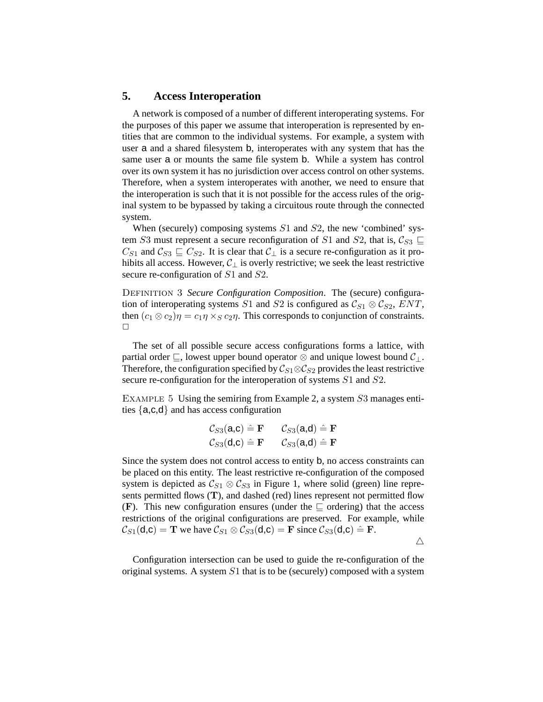#### **5. Access Interoperation**

A network is composed of a number of different interoperating systems. For the purposes of this paper we assume that interoperation is represented by entities that are common to the individual systems. For example, a system with user a and a shared filesystem b, interoperates with any system that has the same user a or mounts the same file system b. While a system has control over its own system it has no jurisdiction over access control on other systems. Therefore, when a system interoperates with another, we need to ensure that the interoperation is such that it is not possible for the access rules of the original system to be bypassed by taking a circuitous route through the connected system.

When (securely) composing systems S1 and S2, the new 'combined' system S3 must represent a secure reconfiguration of S1 and S2, that is,  $\mathcal{C}_{S3} \sqsubseteq$  $C_{S1}$  and  $C_{S3} \sqsubseteq C_{S2}$ . It is clear that  $C_{\perp}$  is a secure re-configuration as it prohibits all access. However,  $C_{\perp}$  is overly restrictive; we seek the least restrictive secure re-configuration of  $S1$  and  $S2$ .

Definition 3 *Secure Configuration Composition*. The (secure) configuration of interoperating systems S1 and S2 is configured as  $C_{S1} \otimes C_{S2}$ , ENT, then  $(c_1 \otimes c_2)\eta = c_1\eta \times_S c_2\eta$ . This corresponds to conjunction of constraints.  $\Box$ 

The set of all possible secure access configurations forms a lattice, with partial order  $\sqsubseteq$ , lowest upper bound operator  $\otimes$  and unique lowest bound  $\mathcal{C}_\perp$ . Therefore, the configuration specified by  $C_{S1} \otimes C_{S2}$  provides the least restrictive secure re-configuration for the interoperation of systems  $S1$  and  $S2$ .

Example 5 Using the semiring from Example 2, a system S3 manages entities  ${a, c, d}$  and has access configuration

$$
C_{S3}(\mathbf{a}, \mathbf{c}) \hat{=} \mathbf{F} \qquad C_{S3}(\mathbf{a}, \mathbf{d}) \hat{=} \mathbf{F}
$$
  

$$
C_{S3}(\mathbf{d}, \mathbf{c}) \hat{=} \mathbf{F} \qquad C_{S3}(\mathbf{a}, \mathbf{d}) \hat{=} \mathbf{F}
$$

Since the system does not control access to entity b, no access constraints can be placed on this entity. The least restrictive re-configuration of the composed system is depicted as  $C_{S1} \otimes C_{S3}$  in Figure 1, where solid (green) line represents permitted flows  $(T)$ , and dashed (red) lines represent not permitted flow (F). This new configuration ensures (under the  $\sqsubseteq$  ordering) that the access restrictions of the original configurations are preserved. For example, while  $\mathcal{C}_{S1}(\mathsf{d},\mathsf{c}) = \mathbf{T}$  we have  $\mathcal{C}_{S1} \otimes \mathcal{C}_{S3}(\mathsf{d},\mathsf{c}) = \mathbf{F}$  since  $\mathcal{C}_{S3}(\mathsf{d},\mathsf{c}) \doteq \mathbf{F}$ .

 $\triangle$ 

Configuration intersection can be used to guide the re-configuration of the original systems. A system  $S1$  that is to be (securely) composed with a system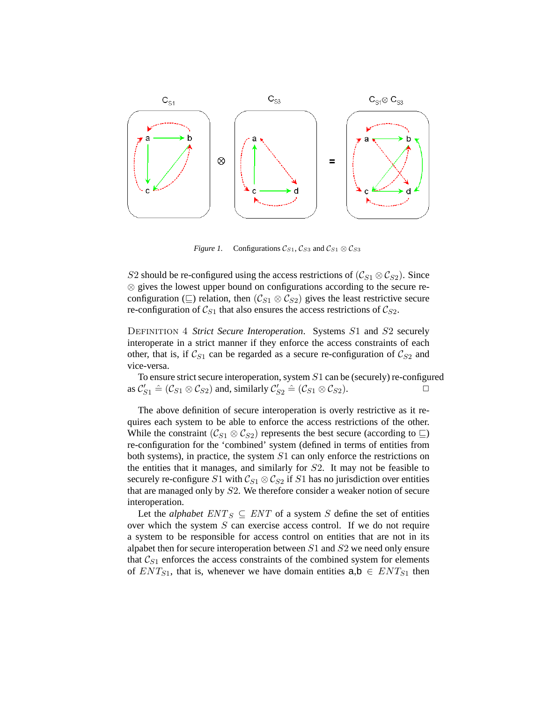

*Figure 1.* Configurations  $C_{S1}$ ,  $C_{S3}$  and  $C_{S1} \otimes C_{S3}$ 

S2 should be re-configured using the access restrictions of  $(\mathcal{C}_{S1} \otimes \mathcal{C}_{S2})$ . Since ⊗ gives the lowest upper bound on configurations according to the secure reconfiguration ( $\subseteq$ ) relation, then ( $C_{S1} \otimes C_{S2}$ ) gives the least restrictive secure re-configuration of  $C_{S1}$  that also ensures the access restrictions of  $C_{S2}$ .

Definition 4 *Strict Secure Interoperation*. Systems S1 and S2 securely interoperate in a strict manner if they enforce the access constraints of each other, that is, if  $C_{S1}$  can be regarded as a secure re-configuration of  $C_{S2}$  and vice-versa.

To ensure strict secure interoperation, system  $S1$  can be (securely) re-configured as  $C'_{S1} \hat{=} (\mathcal{C}_{S1} \otimes \mathcal{C}_{S2})$  and, similarly  $\mathcal{C}'_{S2} \hat{=} (\mathcal{C}_{S1} \otimes \mathcal{C}_{S2})$ .

The above definition of secure interoperation is overly restrictive as it requires each system to be able to enforce the access restrictions of the other. While the constraint ( $C_{S1} \otimes C_{S2}$ ) represents the best secure (according to  $\sqsubseteq$ ) re-configuration for the 'combined' system (defined in terms of entities from both systems), in practice, the system S1 can only enforce the restrictions on the entities that it manages, and similarly for S2. It may not be feasible to securely re-configure S1 with  $C_{S1} \otimes C_{S2}$  if S1 has no jurisdiction over entities that are managed only by S2. We therefore consider a weaker notion of secure interoperation.

Let the *alphabet*  $ENT_S \subseteq ENT$  of a system S define the set of entities over which the system  $S$  can exercise access control. If we do not require a system to be responsible for access control on entities that are not in its alpabet then for secure interoperation between S1 and S2 we need only ensure that  $C_{S1}$  enforces the access constraints of the combined system for elements of  $ENT_{S1}$ , that is, whenever we have domain entities  $a,b \in ENT_{S1}$  then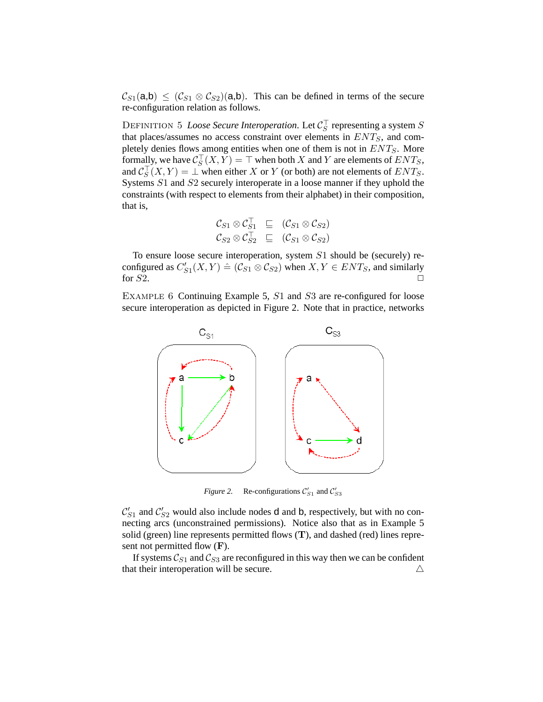$\mathcal{C}_{S1}(\mathsf{a},\mathsf{b}) \leq (\mathcal{C}_{S1} \otimes \mathcal{C}_{S2})(\mathsf{a},\mathsf{b})$ . This can be defined in terms of the secure re-configuration relation as follows.

DEFINITION 5 *Loose Secure Interoperation*. Let  $C_S^{\top}$  representing a system S that places/assumes no access constraint over elements in  $ENT<sub>S</sub>$ , and completely denies flows among entities when one of them is not in  $ENT<sub>S</sub>$ . More formally, we have  $\mathcal{C}_S^\top(X,Y)=\top$  when both  $X$  and  $Y$  are elements of  $ENT_S,$ and  $C_S^{\top}(X, Y) = \bot$  when either X or Y (or both) are not elements of  $ENT_S$ . Systems S1 and S2 securely interoperate in a loose manner if they uphold the constraints (with respect to elements from their alphabet) in their composition, that is,

$$
\begin{array}{ccc} {\mathcal C}_{S1} \otimes {\mathcal C}_{S1}^{\top} & \sqsubseteq & ({\mathcal C}_{S1} \otimes {\mathcal C}_{S2}) \\ {\mathcal C}_{S2} \otimes {\mathcal C}_{S2}^{\top} & \sqsubseteq & ({\mathcal C}_{S1} \otimes {\mathcal C}_{S2}) \end{array}
$$

To ensure loose secure interoperation, system S1 should be (securely) reconfigured as  $C'_{S1}(X,Y) \triangleq (C_{S1} \otimes C_{S2})$  when  $X, Y \in ENT_S$ , and similarly for  $S2$ .

EXAMPLE 6 Continuing Example 5, S1 and S3 are re-configured for loose secure interoperation as depicted in Figure 2. Note that in practice, networks



*Figure 2.* Re-configurations  $C'_{S1}$  and  $C'_{S3}$ 

 $\mathcal{C}_{S1}'$  and  $\mathcal{C}_{S2}'$  would also include nodes **d** and **b**, respectively, but with no connecting arcs (unconstrained permissions). Notice also that as in Example 5 solid (green) line represents permitted flows  $(T)$ , and dashed (red) lines represent not permitted flow  $(F)$ .

If systems  $C_{S1}$  and  $C_{S3}$  are reconfigured in this way then we can be confident that their interoperation will be secure.  $\triangle$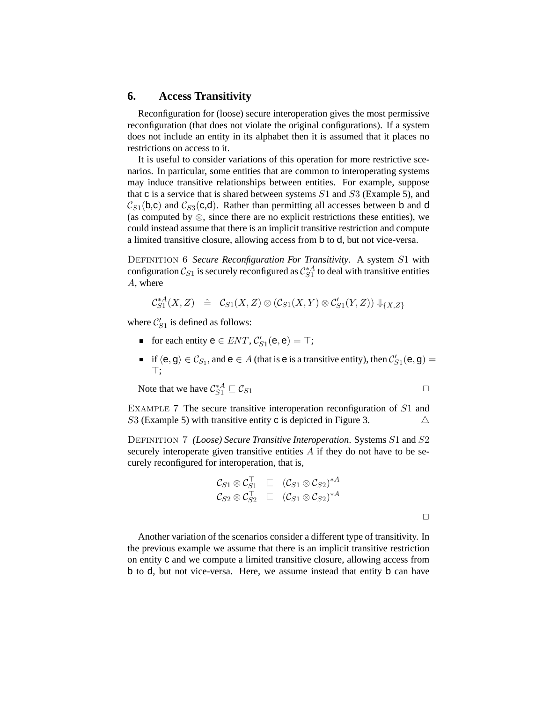## **6. Access Transitivity**

Reconfiguration for (loose) secure interoperation gives the most permissive reconfiguration (that does not violate the original configurations). If a system does not include an entity in its alphabet then it is assumed that it places no restrictions on access to it.

It is useful to consider variations of this operation for more restrictive scenarios. In particular, some entities that are common to interoperating systems may induce transitive relationships between entities. For example, suppose that  $c$  is a service that is shared between systems  $S1$  and  $S3$  (Example 5), and  $\mathcal{C}_{S1}$ (b,c) and  $\mathcal{C}_{S3}$ (c,d). Rather than permitting all accesses between b and d (as computed by  $\otimes$ , since there are no explicit restrictions these entities), we could instead assume that there is an implicit transitive restriction and compute a limited transitive closure, allowing access from b to d, but not vice-versa.

Definition 6 *Secure Reconfiguration For Transitivity*. A system S1 with configuration  $\mathcal{C}_{S1}$  is securely reconfigured as  $\mathcal{C}_{S1}^{*A}$  to deal with transitive entities A, where

$$
\mathcal{C}_{S1}^{*A}(X,Z) \triangleq \mathcal{C}_{S1}(X,Z) \otimes (\mathcal{C}_{S1}(X,Y) \otimes \mathcal{C}_{S1}'(Y,Z)) \Downarrow_{\{X,Z\}}
$$

where  $\mathcal{C}'_{S1}$  is defined as follows:

- for each entity  $e \in ENT$ ,  $C'_{S1}(e, e) = \top$ ;
- if  $\langle e, g \rangle \in \mathcal{C}_{S_1}$ , and  $e \in A$  (that is  $e$  is a transitive entity), then  $\mathcal{C}_{S1}'(e, g) =$ ⊤;

Note that we have  $\mathcal{C}_{S1}^{*A} \sqsubseteq \mathcal{C}_{S1}$ 

Example 7 The secure transitive interoperation reconfiguration of S1 and S3 (Example 5) with transitive entity c is depicted in Figure 3.  $\triangle$ 

Definition 7 *(Loose) Secure Transitive Interoperation*. Systems S1 and S2 securely interoperate given transitive entities A if they do not have to be securely reconfigured for interoperation, that is,

$$
C_{S1} \otimes C_{S1}^{\top} \subseteq (C_{S1} \otimes C_{S2})^{*A}
$$
  
\n
$$
C_{S2} \otimes C_{S2}^{\top} \subseteq (C_{S1} \otimes C_{S2})^{*A}
$$

Another variation of the scenarios consider a different type of transitivity. In the previous example we assume that there is an implicit transitive restriction on entity c and we compute a limited transitive closure, allowing access from b to d, but not vice-versa. Here, we assume instead that entity b can have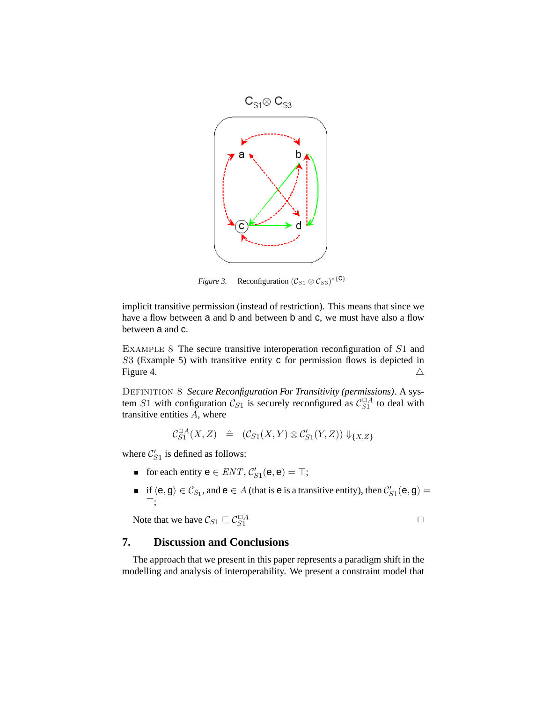

*Figure 3.* Reconfiguration  $(C_{S1} \otimes C_{S3})^{*{^\{\mathbb{C}\}}}$ 

implicit transitive permission (instead of restriction). This means that since we have a flow between a and b and between b and c, we must have also a flow between a and c.

Example 8 The secure transitive interoperation reconfiguration of S1 and S3 (Example 5) with transitive entity c for permission flows is depicted in Figure 4.  $\triangle$ 

Definition 8 *Secure Reconfiguration For Transitivity (permissions)*. A system S1 with configuration  $C_{S_1}$  is securely reconfigured as  $C_{S_1}^{\square A}$  to deal with transitive entities A, where

$$
\mathcal{C}_{S1}^{\square A}(X,Z) \triangleq (\mathcal{C}_{S1}(X,Y) \otimes \mathcal{C}_{S1}'(Y,Z)) \Downarrow_{\{X,Z\}}
$$

where  $\mathcal{C}'_{S1}$  is defined as follows:

- for each entity  $e \in ENT$ ,  $\mathcal{C}'_{S1}(e, e) = \top$ ;
- if  $\langle e, g \rangle \in \mathcal{C}_{S_1}$ , and  $e \in A$  (that is  $e$  is a transitive entity), then  $\mathcal{C}_{S1}'(e, g) =$ ⊤;

Note that we have  $\mathcal{C}_{S1} \sqsubseteq \mathcal{C}_{S1}^{\square A}$  $\Box A$ <br>S1

$$
\Box
$$

# **7. Discussion and Conclusions**

The approach that we present in this paper represents a paradigm shift in the modelling and analysis of interoperability. We present a constraint model that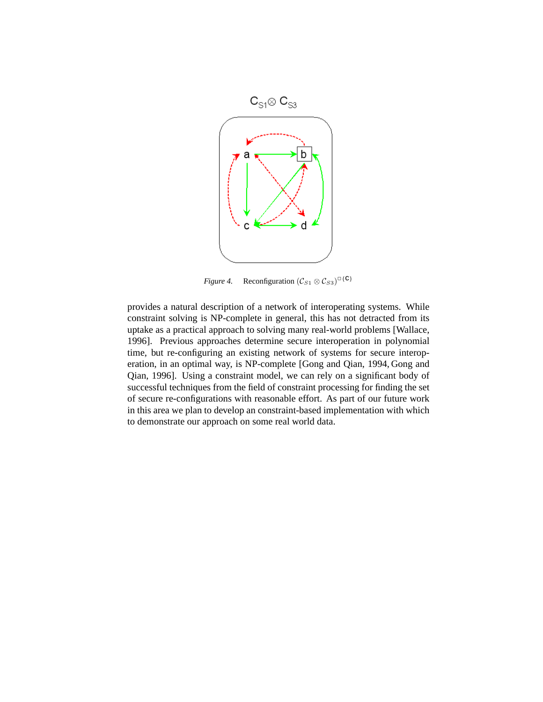

*Figure 4.* Reconfiguration  $(C_{S1} \otimes C_{S3})^{\square \{C\}}$ 

provides a natural description of a network of interoperating systems. While constraint solving is NP-complete in general, this has not detracted from its uptake as a practical approach to solving many real-world problems [Wallace, 1996]. Previous approaches determine secure interoperation in polynomial time, but re-configuring an existing network of systems for secure interoperation, in an optimal way, is NP-complete [Gong and Qian, 1994, Gong and Qian, 1996]. Using a constraint model, we can rely on a significant body of successful techniques from the field of constraint processing for finding the set of secure re-configurations with reasonable effort. As part of our future work in this area we plan to develop an constraint-based implementation with which to demonstrate our approach on some real world data.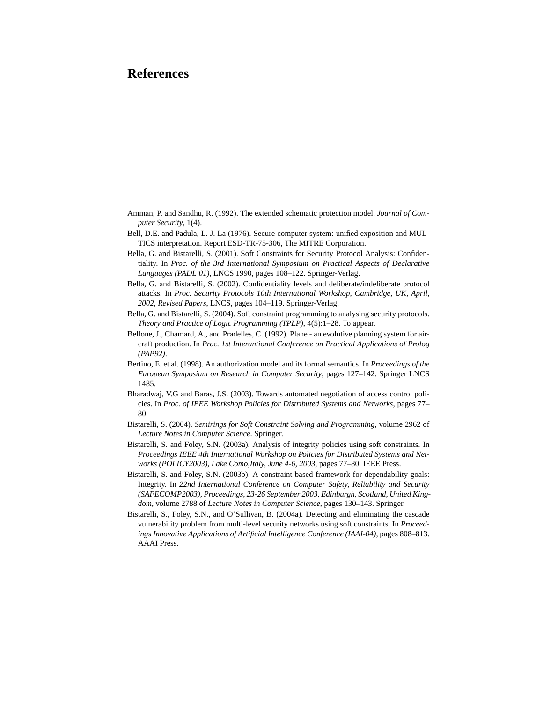# **References**

- Amman, P. and Sandhu, R. (1992). The extended schematic protection model. *Journal of Computer Security*, 1(4).
- Bell, D.E. and Padula, L. J. La (1976). Secure computer system: unified exposition and MUL-TICS interpretation. Report ESD-TR-75-306, The MITRE Corporation.
- Bella, G. and Bistarelli, S. (2001). Soft Constraints for Security Protocol Analysis: Confidentiality. In *Proc. of the 3rd International Symposium on Practical Aspects of Declarative Languages (PADL'01)*, LNCS 1990, pages 108–122. Springer-Verlag.
- Bella, G. and Bistarelli, S. (2002). Confidentiality levels and deliberate/indeliberate protocol attacks. In *Proc. Security Protocols 10th International Workshop, Cambridge, UK, April, 2002, Revised Papers*, LNCS, pages 104–119. Springer-Verlag.
- Bella, G. and Bistarelli, S. (2004). Soft constraint programming to analysing security protocols. *Theory and Practice of Logic Programming (TPLP)*, 4(5):1–28. To appear.
- Bellone, J., Chamard, A., and Pradelles, C. (1992). Plane an evolutive planning system for aircraft production. In *Proc. 1st Interantional Conference on Practical Applications of Prolog (PAP92)*.
- Bertino, E. et al. (1998). An authorization model and its formal semantics. In *Proceedings of the European Symposium on Research in Computer Security*, pages 127–142. Springer LNCS 1485.
- Bharadwaj, V.G and Baras, J.S. (2003). Towards automated negotiation of access control policies. In *Proc. of IEEE Workshop Policies for Distributed Systems and Networks*, pages 77– 80.
- Bistarelli, S. (2004). *Semirings for Soft Constraint Solving and Programming*, volume 2962 of *Lecture Notes in Computer Science*. Springer.
- Bistarelli, S. and Foley, S.N. (2003a). Analysis of integrity policies using soft constraints. In *Proceedings IEEE 4th International Workshop on Policies for Distributed Systems and Networks (POLICY2003), Lake Como,Italy, June 4-6, 2003*, pages 77–80. IEEE Press.
- Bistarelli, S. and Foley, S.N. (2003b). A constraint based framework for dependability goals: Integrity. In *22nd International Conference on Computer Safety, Reliability and Security (SAFECOMP2003), Proceedings, 23-26 September 2003, Edinburgh, Scotland, United Kingdom*, volume 2788 of *Lecture Notes in Computer Science*, pages 130–143. Springer.
- Bistarelli, S., Foley, S.N., and O'Sullivan, B. (2004a). Detecting and eliminating the cascade vulnerability problem from multi-level security networks using soft constraints. In *Proceedings Innovative Applications of Artificial Intelligence Conference (IAAI-04)*, pages 808–813. AAAI Press.